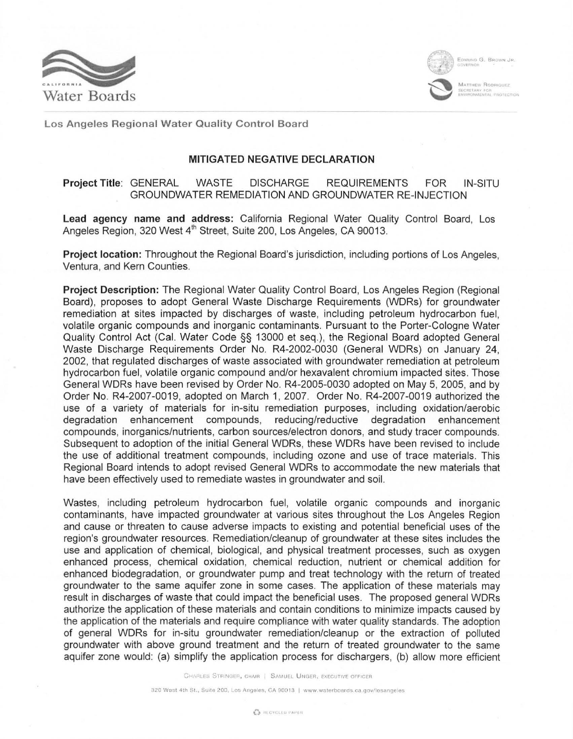



l

EDWIND G. BROWN J

MATTHEW RODRIQUEZ NTAL PROTECTION

Los Angeles Regional Water Quality Control Board

## MITIGATED NEGATIVE DECLARATION

## Project Title: GENERAL WASTE DISCHARGE REQUIREMENTS FOR IN-SITU GROUNDWATER REMEDIATION AND GROUNDWATER RE-INJECTION

Lead agency name and address: California Regional Water Quality Control Board, Los Angeles Region, 320 West 4<sup>th</sup> Street, Suite 200, Los Angeles, CA 90013.

Project location: Throughout the Regional Board's jurisdiction, including portions of Los Angeles, Ventura, and Kern Counties.

Project Description: The Regional Water Quality Control Board, Los Angeles Region (Regional Board), proposes to adopt General Waste Discharge Requirements (WDRs) for groundwater remediation at sites impacted by discharges of waste, including petroleum hydrocarbon fuel, volatile organic compounds and inorganic contaminants. Pursuant to the Porter-Cologne Water Quality Control Act (Cal. Water Code §§ 13000 et seq.), the Regional Board adopted General Waste Discharge Requirements Order No. R4-2002-0030 (General WDRs) on January 24, 2002, that regulated discharges of waste associated with groundwater remediation at petroleum hydrocarbon fuel, volatile organic compound and/or hexavalent chromium impacted sites. Those General WDRs have been revised by Order No. R4-2005-0030 adopted on May 5, 2005, and by Order No. R4-2007-0019, adopted on March 1, 2007. Order No. R4-2007-0019 authorized the use of a variety of materials for in-situ remediation purposes, including oxidation/aerobic<br>degradation enhancement compounds, reducing/reductive degradation enhancement degradation enhancement compounds, reducing/reductive degradation enhancement compounds, inorganics/nutrients, carbon sources/electron donors, and study tracer compounds. Subsequent to adoption of the initial General WDRs, these WDRs have been revised to include the use of additional treatment compounds, including ozone and use of trace materials. This Regional Board intends to adopt revised General WDRs to accommodate the new materials that have been effectively used to remediate wastes in groundwater and soil.

Wastes, including petroleum hydrocarbon fuel, volatile organic compounds and inorganic contaminants, have impacted groundwater at various sites throughout the Los Angeles Region and cause or threaten to cause adverse impacts to existing and potential beneficial uses of the region's groundwater resources. Remediation/cleanup of groundwater at these sites includes the use and application of chemical, biological, and physical treatment processes, such as oxygen enhanced process, chemical oxidation, chemical reduction, nutrient or chemical addition for enhanced biodegradation, or groundwater pump and treat technology with the return of treated groundwater to the same aquifer zone in some cases. The application of these materials may result in discharges of waste that could impact the beneficial uses. The proposed general WDRs authorize the application of these materials and contain conditions to minimize impacts caused by the application of the materials and require compliance with water quality standards. The adoption of general WDRs for in-situ groundwater remediation/cleanup or the extraction of polluted groundwater with above ground treatment and the return of treated groundwater to the same aquifer zone would: (a) simplify the application process for dischargers, (b) allow more efficient

CHARLES STRINGER, CHAIR | SAMUEL UNGER, EXECUTIVE OFFICER

320 West 4th St., Suite 200, Los Angeles, CA 90013 | www.waterboards.ca.gov/losangeles